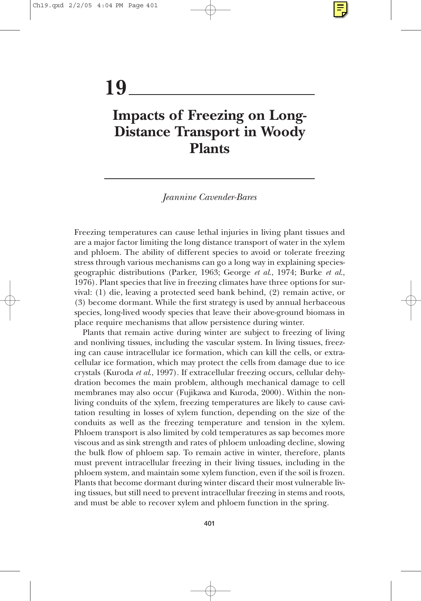

## *Jeannine Cavender-Bares*

Freezing temperatures can cause lethal injuries in living plant tissues and are a major factor limiting the long distance transport of water in the xylem and phloem. The ability of different species to avoid or tolerate freezing stress through various mechanisms can go a long way in explaining speciesgeographic distributions (Parker, 1963; George *et al*., 1974; Burke *et al*., 1976). Plant species that live in freezing climates have three options for survival: (1) die, leaving a protected seed bank behind, (2) remain active, or (3) become dormant. While the first strategy is used by annual herbaceous species, long-lived woody species that leave their above-ground biomass in place require mechanisms that allow persistence during winter.

Plants that remain active during winter are subject to freezing of living and nonliving tissues, including the vascular system. In living tissues, freezing can cause intracellular ice formation, which can kill the cells, or extracellular ice formation, which may protect the cells from damage due to ice crystals (Kuroda *et al*., 1997). If extracellular freezing occurs, cellular dehydration becomes the main problem, although mechanical damage to cell membranes may also occur (Fujikawa and Kuroda, 2000). Within the nonliving conduits of the xylem, freezing temperatures are likely to cause cavitation resulting in losses of xylem function, depending on the size of the conduits as well as the freezing temperature and tension in the xylem. Phloem transport is also limited by cold temperatures as sap becomes more viscous and as sink strength and rates of phloem unloading decline, slowing the bulk flow of phloem sap. To remain active in winter, therefore, plants must prevent intracellular freezing in their living tissues, including in the phloem system, and maintain some xylem function, even if the soil is frozen. Plants that become dormant during winter discard their most vulnerable living tissues, but still need to prevent intracellular freezing in stems and roots, and must be able to recover xylem and phloem function in the spring.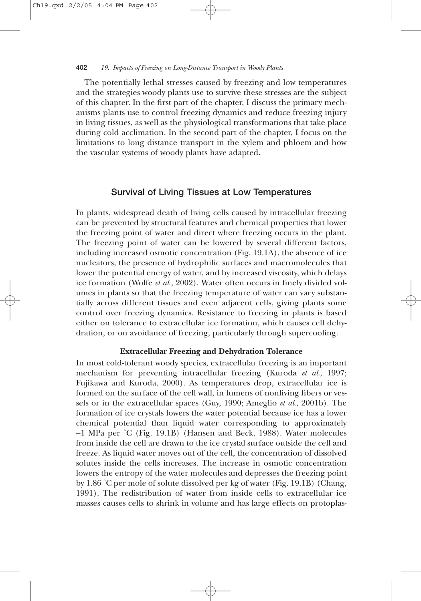The potentially lethal stresses caused by freezing and low temperatures and the strategies woody plants use to survive these stresses are the subject of this chapter. In the first part of the chapter, I discuss the primary mechanisms plants use to control freezing dynamics and reduce freezing injury in living tissues, as well as the physiological transformations that take place during cold acclimation. In the second part of the chapter, I focus on the limitations to long distance transport in the xylem and phloem and how the vascular systems of woody plants have adapted.

## **Survival of Living Tissues at Low Temperatures**

In plants, widespread death of living cells caused by intracellular freezing can be prevented by structural features and chemical properties that lower the freezing point of water and direct where freezing occurs in the plant. The freezing point of water can be lowered by several different factors, including increased osmotic concentration (Fig. 19.1A), the absence of ice nucleators, the presence of hydrophilic surfaces and macromolecules that lower the potential energy of water, and by increased viscosity, which delays ice formation (Wolfe *et al*., 2002). Water often occurs in finely divided volumes in plants so that the freezing temperature of water can vary substantially across different tissues and even adjacent cells, giving plants some control over freezing dynamics. Resistance to freezing in plants is based either on tolerance to extracellular ice formation, which causes cell dehydration, or on avoidance of freezing, particularly through supercooling.

## **Extracellular Freezing and Dehydration Tolerance**

In most cold-tolerant woody species, extracellular freezing is an important mechanism for preventing intracellular freezing (Kuroda *et al*., 1997; Fujikawa and Kuroda, 2000). As temperatures drop, extracellular ice is formed on the surface of the cell wall, in lumens of nonliving fibers or vessels or in the extracellular spaces (Guy, 1990; Ameglio *et al*., 2001b). The formation of ice crystals lowers the water potential because ice has a lower chemical potential than liquid water corresponding to approximately −1 MPa per ˚C (Fig. 19.1B) (Hansen and Beck, 1988). Water molecules from inside the cell are drawn to the ice crystal surface outside the cell and freeze. As liquid water moves out of the cell, the concentration of dissolved solutes inside the cells increases. The increase in osmotic concentration lowers the entropy of the water molecules and depresses the freezing point by 1.86 ˚C per mole of solute dissolved per kg of water (Fig. 19.1B) (Chang, 1991). The redistribution of water from inside cells to extracellular ice masses causes cells to shrink in volume and has large effects on protoplas-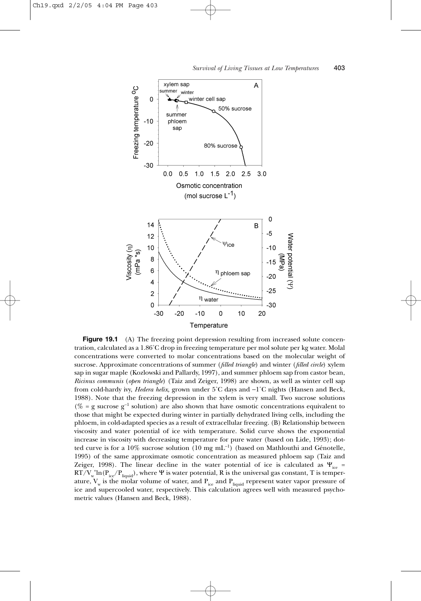



**Figure 19.1** (A) The freezing point depression resulting from increased solute concentration, calculated as a 1.86˚C drop in freezing temperature per mol solute per kg water. Molal concentrations were converted to molar concentrations based on the molecular weight of sucrose. Approximate concentrations of summer (*filled triangle*) and winter (*filled circle*) xylem sap in sugar maple (Kozlowski and Pallardy, 1997), and summer phloem sap from castor bean, *Ricinus communis* (*open triangle*) (Taiz and Zeiger, 1998) are shown, as well as winter cell sap from cold-hardy ivy, *Hedera helix,* grown under 5˚C days and −1˚C nights (Hansen and Beck, 1988). Note that the freezing depression in the xylem is very small. Two sucrose solutions (% = g sucrose  $g^{-1}$  solution) are also shown that have osmotic concentrations equivalent to those that might be expected during winter in partially dehydrated living cells, including the phloem, in cold-adapted species as a result of extracellular freezing. (B) Relationship between viscosity and water potential of ice with temperature. Solid curve shows the exponential increase in viscosity with decreasing temperature for pure water (based on Lide, 1993); dotted curve is for a 10% sucrose solution (10 mg mL<sup>-1</sup>) (based on Mathlouthi and Génotelle, 1995) of the same approximate osmotic concentration as measured phloem sap (Taiz and Zeiger, 1998). The linear decline in the water potential of ice is calculated as  $\Psi_{\text{ice}}$  =  $\mathrm{RT}/\mathrm{V}_{_{\rm w}}{^{*\rm in}}(\mathrm{P}_{\rm ice}/\mathrm{P}_{\rm liquid})$ , where  $\Psi$  is water potential,  ${\rm R}$  is the universal gas constant,  ${\rm T}$  is temperature,  $V_w$  is the molar volume of water, and  $P_{ice}$  and  $P_{liquid}$  represent water vapor pressure of ice and supercooled water, respectively. This calculation agrees well with measured psychometric values (Hansen and Beck, 1988).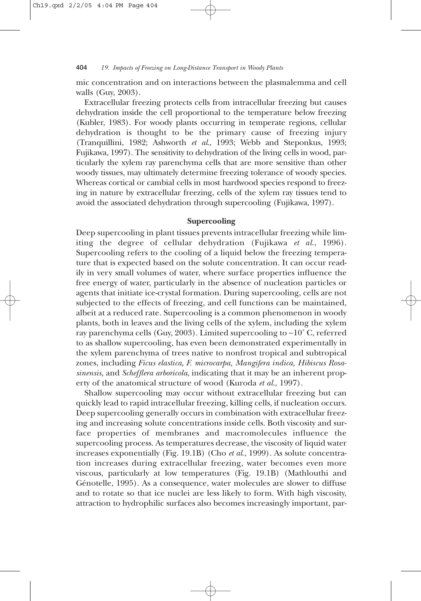mic concentration and on interactions between the plasmalemma and cell walls (Guy, 2003).

Extracellular freezing protects cells from intracellular freezing but causes dehydration inside the cell proportional to the temperature below freezing (Kubler, 1983). For woody plants occurring in temperate regions, cellular dehydration is thought to be the primary cause of freezing injury (Tranquillini, 1982; Ashworth *et al*., 1993; Webb and Steponkus, 1993; Fujikawa, 1997). The sensitivity to dehydration of the living cells in wood, particularly the xylem ray parenchyma cells that are more sensitive than other woody tissues, may ultimately determine freezing tolerance of woody species. Whereas cortical or cambial cells in most hardwood species respond to freezing in nature by extracellular freezing, cells of the xylem ray tissues tend to avoid the associated dehydration through supercooling (Fujikawa, 1997).

## **Supercooling**

Deep supercooling in plant tissues prevents intracellular freezing while limiting the degree of cellular dehydration (Fujikawa *et al*., 1996). Supercooling refers to the cooling of a liquid below the freezing temperature that is expected based on the solute concentration. It can occur readily in very small volumes of water, where surface properties influence the free energy of water, particularly in the absence of nucleation particles or agents that initiate ice-crystal formation. During supercooling, cells are not subjected to the effects of freezing, and cell functions can be maintained, albeit at a reduced rate. Supercooling is a common phenomenon in woody plants, both in leaves and the living cells of the xylem, including the xylem ray parenchyma cells (Guy, 2003). Limited supercooling to −10˚ C, referred to as shallow supercooling, has even been demonstrated experimentally in the xylem parenchyma of trees native to nonfrost tropical and subtropical zones, including *Ficus elastica, F. microcarpa, Mangifera indica, Hibiscus Rosasinensis,* and *Schefflera arboricola*, indicating that it may be an inherent property of the anatomical structure of wood (Kuroda *et al*., 1997).

Shallow supercooling may occur without extracellular freezing but can quickly lead to rapid intracellular freezing, killing cells, if nucleation occurs. Deep supercooling generally occurs in combination with extracellular freezing and increasing solute concentrations inside cells. Both viscosity and surface properties of membranes and macromolecules influence the supercooling process. As temperatures decrease, the viscosity of liquid water increases exponentially (Fig. 19.1B) (Cho *et al*., 1999). As solute concentration increases during extracellular freezing, water becomes even more viscous, particularly at low temperatures (Fig. 19.1B) (Mathlouthi and Génotelle, 1995). As a consequence, water molecules are slower to diffuse and to rotate so that ice nuclei are less likely to form. With high viscosity, attraction to hydrophilic surfaces also becomes increasingly important, par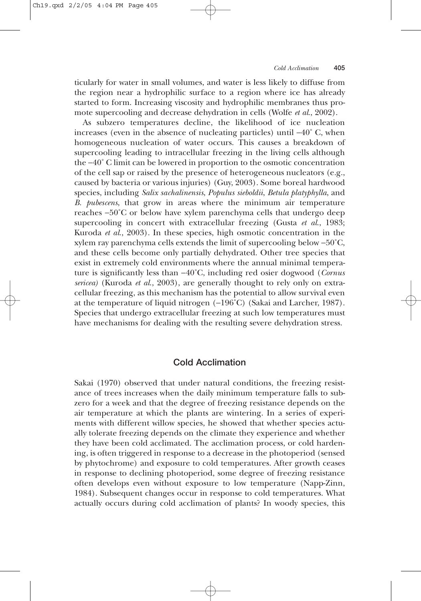ticularly for water in small volumes, and water is less likely to diffuse from the region near a hydrophilic surface to a region where ice has already started to form. Increasing viscosity and hydrophilic membranes thus promote supercooling and decrease dehydration in cells (Wolfe *et al*., 2002).

As subzero temperatures decline, the likelihood of ice nucleation increases (even in the absence of nucleating particles) until −40˚ C, when homogeneous nucleation of water occurs. This causes a breakdown of supercooling leading to intracellular freezing in the living cells although the −40˚ C limit can be lowered in proportion to the osmotic concentration of the cell sap or raised by the presence of heterogeneous nucleators (e.g., caused by bacteria or various injuries) (Guy, 2003). Some boreal hardwood species, including *Salix sachalinensis*, *Populus sieboldii*, *Betula platyphylla*, and *B. pubescens*, that grow in areas where the minimum air temperature reaches −50˚C or below have xylem parenchyma cells that undergo deep supercooling in concert with extracellular freezing (Gusta *et al*., 1983; Kuroda *et al*., 2003). In these species, high osmotic concentration in the xylem ray parenchyma cells extends the limit of supercooling below −50˚C, and these cells become only partially dehydrated. Other tree species that exist in extremely cold environments where the annual minimal temperature is significantly less than −40˚C, including red osier dogwood (*Cornus sericea)* (Kuroda *et al*., 2003), are generally thought to rely only on extracellular freezing, as this mechanism has the potential to allow survival even at the temperature of liquid nitrogen (−196˚C) (Sakai and Larcher, 1987). Species that undergo extracellular freezing at such low temperatures must have mechanisms for dealing with the resulting severe dehydration stress.

## **Cold Acclimation**

Sakai (1970) observed that under natural conditions, the freezing resistance of trees increases when the daily minimum temperature falls to subzero for a week and that the degree of freezing resistance depends on the air temperature at which the plants are wintering. In a series of experiments with different willow species, he showed that whether species actually tolerate freezing depends on the climate they experience and whether they have been cold acclimated. The acclimation process, or cold hardening, is often triggered in response to a decrease in the photoperiod (sensed by phytochrome) and exposure to cold temperatures. After growth ceases in response to declining photoperiod, some degree of freezing resistance often develops even without exposure to low temperature (Napp-Zinn, 1984). Subsequent changes occur in response to cold temperatures. What actually occurs during cold acclimation of plants? In woody species, this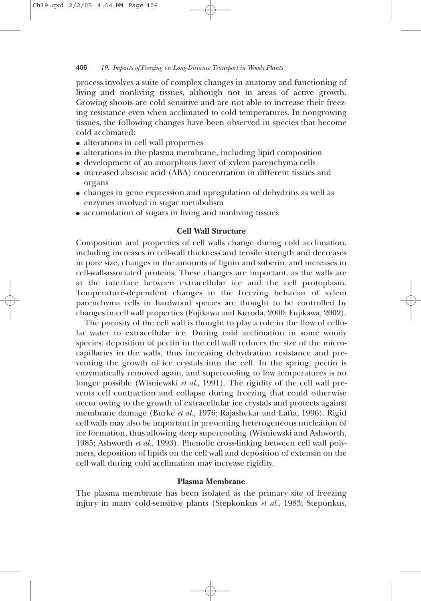process involves a suite of complex changes in anatomy and functioning of living and nonliving tissues, although not in areas of active growth. Growing shoots are cold sensitive and are not able to increase their freezing resistance even when acclimated to cold temperatures. In nongrowing tissues, the following changes have been observed in species that become cold acclimated:

- alterations in cell wall properties
- alterations in the plasma membrane, including lipid composition
- development of an amorphous layer of xylem parenchyma cells
- increased abscisic acid (ABA) concentration in different tissues and organs
- changes in gene expression and upregulation of dehydrins as well as enzymes involved in sugar metabolism
- accumulation of sugars in living and nonliving tissues

## **Cell Wall Structure**

Composition and properties of cell walls change during cold acclimation, including increases in cell-wall thickness and tensile strength and decreases in pore size, changes in the amounts of lignin and suberin, and increases in cell-wall-associated proteins. These changes are important, as the walls are at the interface between extracellular ice and the cell protoplasm. Temperature-dependent changes in the freezing behavior of xylem parenchyma cells in hardwood species are thought to be controlled by changes in cell wall properties (Fujikawa and Kuroda, 2000; Fujikawa, 2002).

The porosity of the cell wall is thought to play a role in the flow of cellular water to extracellular ice. During cold acclimation in some woody species, deposition of pectin in the cell wall reduces the size of the microcapillaries in the walls, thus increasing dehydration resistance and preventing the growth of ice crystals into the cell. In the spring, pectin is enzymatically removed again, and supercooling to low temperatures is no longer possible (Wisniewski *et al*., 1991). The rigidity of the cell wall prevents cell contraction and collapse during freezing that could otherwise occur owing to the growth of extracellular ice crystals and protects against membrane damage (Burke *et al*., 1976; Rajashekar and Lafta, 1996). Rigid cell walls may also be important in preventing heterogeneous nucleation of ice formation, thus allowing deep supercooling (Wisniewski and Ashworth, 1985; Ashworth *et al*., 1993). Phenolic cross-linking between cell wall polymers, deposition of lipids on the cell wall and deposition of extensin on the cell wall during cold acclimation may increase rigidity.

## **Plasma Membrane**

The plasma membrane has been isolated as the primary site of freezing injury in many cold-sensitive plants (Stepkonkus *et al*., 1983; Steponkus,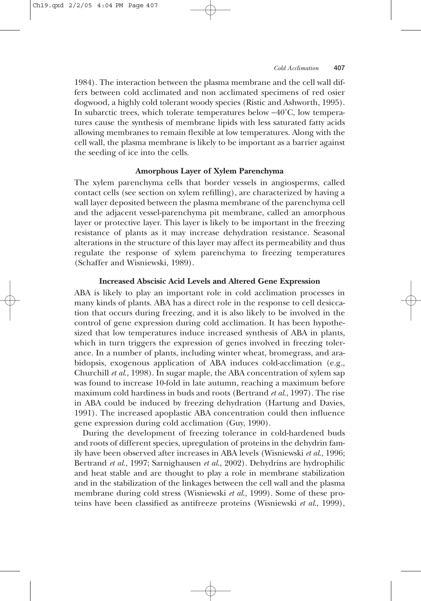1984). The interaction between the plasma membrane and the cell wall differs between cold acclimated and non acclimated specimens of red osier dogwood, a highly cold tolerant woody species (Ristic and Ashworth, 1995). In subarctic trees, which tolerate temperatures below −40˚C, low temperatures cause the synthesis of membrane lipids with less saturated fatty acids allowing membranes to remain flexible at low temperatures. Along with the cell wall, the plasma membrane is likely to be important as a barrier against the seeding of ice into the cells.

## **Amorphous Layer of Xylem Parenchyma**

The xylem parenchyma cells that border vessels in angiosperms, called contact cells (see section on xylem refilling), are characterized by having a wall layer deposited between the plasma membrane of the parenchyma cell and the adjacent vessel-parenchyma pit membrane, called an amorphous layer or protective layer. This layer is likely to be important in the freezing resistance of plants as it may increase dehydration resistance. Seasonal alterations in the structure of this layer may affect its permeability and thus regulate the response of xylem parenchyma to freezing temperatures (Schaffer and Wisniewski, 1989).

## **Increased Abscisic Acid Levels and Altered Gene Expression**

ABA is likely to play an important role in cold acclimation processes in many kinds of plants. ABA has a direct role in the response to cell desiccation that occurs during freezing, and it is also likely to be involved in the control of gene expression during cold acclimation. It has been hypothesized that low temperatures induce increased synthesis of ABA in plants, which in turn triggers the expression of genes involved in freezing tolerance. In a number of plants, including winter wheat, bromegrass, and arabidopsis, exogenous application of ABA induces cold-acclimation (e.g., Churchill *et al*., 1998). In sugar maple, the ABA concentration of xylem sap was found to increase 10-fold in late autumn, reaching a maximum before maximum cold hardiness in buds and roots (Bertrand *et al*., 1997). The rise in ABA could be induced by freezing dehydration (Hartung and Davies, 1991). The increased apoplastic ABA concentration could then influence gene expression during cold acclimation (Guy, 1990).

During the development of freezing tolerance in cold-hardened buds and roots of different species, upregulation of proteins in the dehydrin family have been observed after increases in ABA levels (Wisniewski *et al*., 1996; Bertrand *et al*., 1997; Sarnighausen *et al*., 2002). Dehydrins are hydrophilic and heat stable and are thought to play a role in membrane stabilization and in the stabilization of the linkages between the cell wall and the plasma membrane during cold stress (Wisniewski *et al*., 1999). Some of these proteins have been classified as antifreeze proteins (Wisniewski *et al*., 1999),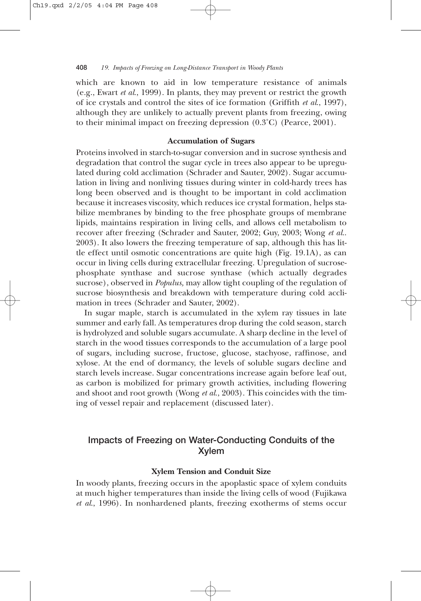which are known to aid in low temperature resistance of animals (e.g., Ewart *et al*., 1999). In plants, they may prevent or restrict the growth of ice crystals and control the sites of ice formation (Griffith *et al*., 1997), although they are unlikely to actually prevent plants from freezing, owing to their minimal impact on freezing depression (0.3˚C) (Pearce, 2001).

#### **Accumulation of Sugars**

Proteins involved in starch-to-sugar conversion and in sucrose synthesis and degradation that control the sugar cycle in trees also appear to be upregulated during cold acclimation (Schrader and Sauter, 2002). Sugar accumulation in living and nonliving tissues during winter in cold-hardy trees has long been observed and is thought to be important in cold acclimation because it increases viscosity, which reduces ice crystal formation, helps stabilize membranes by binding to the free phosphate groups of membrane lipids, maintains respiration in living cells, and allows cell metabolism to recover after freezing (Schrader and Sauter, 2002; Guy, 2003; Wong *et al*.. 2003). It also lowers the freezing temperature of sap, although this has little effect until osmotic concentrations are quite high (Fig. 19.1A), as can occur in living cells during extracellular freezing. Upregulation of sucrosephosphate synthase and sucrose synthase (which actually degrades sucrose), observed in *Populus,* may allow tight coupling of the regulation of sucrose biosynthesis and breakdown with temperature during cold acclimation in trees (Schrader and Sauter, 2002).

In sugar maple, starch is accumulated in the xylem ray tissues in late summer and early fall. As temperatures drop during the cold season, starch is hydrolyzed and soluble sugars accumulate. A sharp decline in the level of starch in the wood tissues corresponds to the accumulation of a large pool of sugars, including sucrose, fructose, glucose, stachyose, raffinose, and xylose. At the end of dormancy, the levels of soluble sugars decline and starch levels increase. Sugar concentrations increase again before leaf out, as carbon is mobilized for primary growth activities, including flowering and shoot and root growth (Wong *et al*., 2003). This coincides with the timing of vessel repair and replacement (discussed later).

## **Impacts of Freezing on Water-Conducting Conduits of the Xylem**

## **Xylem Tension and Conduit Size**

In woody plants, freezing occurs in the apoplastic space of xylem conduits at much higher temperatures than inside the living cells of wood (Fujikawa *et al*., 1996). In nonhardened plants, freezing exotherms of stems occur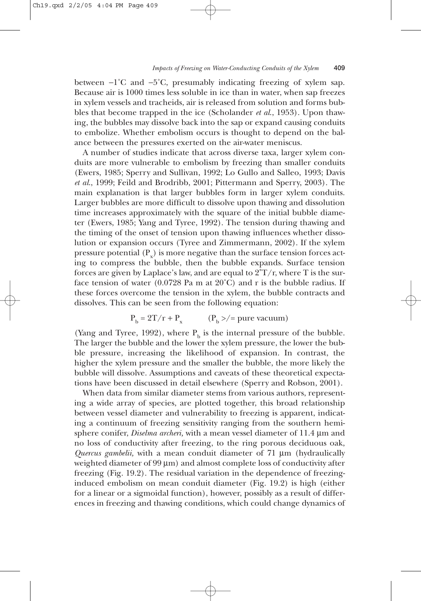$Ch19.axd 2/2/05$ 

between −1˚C and −5˚C, presumably indicating freezing of xylem sap. Because air is 1000 times less soluble in ice than in water, when sap freezes in xylem vessels and tracheids, air is released from solution and forms bubbles that become trapped in the ice (Scholander *et al*., 1953). Upon thawing, the bubbles may dissolve back into the sap or expand causing conduits to embolize. Whether embolism occurs is thought to depend on the balance between the pressures exerted on the air-water meniscus.

A number of studies indicate that across diverse taxa, larger xylem conduits are more vulnerable to embolism by freezing than smaller conduits (Ewers, 1985; Sperry and Sullivan, 1992; Lo Gullo and Salleo, 1993; Davis *et al*., 1999; Feild and Brodribb, 2001; Pittermann and Sperry, 2003). The main explanation is that larger bubbles form in larger xylem conduits. Larger bubbles are more difficult to dissolve upon thawing and dissolution time increases approximately with the square of the initial bubble diameter (Ewers, 1985; Yang and Tyree, 1992). The tension during thawing and the timing of the onset of tension upon thawing influences whether dissolution or expansion occurs (Tyree and Zimmermann, 2002). If the xylem pressure potential  $(P_x)$  is more negative than the surface tension forces acting to compress the bubble, then the bubble expands. Surface tension forces are given by Laplace's law, and are equal to  $2\mathrm{^*T}/\mathrm{r},$  where T is the surface tension of water  $(0.0728 \text{ Pa m at } 20^{\circ} \text{C})$  and r is the bubble radius. If these forces overcome the tension in the xylem, the bubble contracts and dissolves. This can be seen from the following equation:

$$
P_b = 2T/r + P_x \qquad (P_b >/= pure vacuum)
$$

(Yang and Tyree, 1992), where  $P_b$  is the internal pressure of the bubble. The larger the bubble and the lower the xylem pressure, the lower the bubble pressure, increasing the likelihood of expansion. In contrast, the higher the xylem pressure and the smaller the bubble, the more likely the bubble will dissolve. Assumptions and caveats of these theoretical expectations have been discussed in detail elsewhere (Sperry and Robson, 2001).

When data from similar diameter stems from various authors, representing a wide array of species, are plotted together, this broad relationship between vessel diameter and vulnerability to freezing is apparent, indicating a continuum of freezing sensitivity ranging from the southern hemisphere conifer, *Diselma archeri,* with a mean vessel diameter of 11.4 µm and no loss of conductivity after freezing, to the ring porous deciduous oak, *Quercus gambelii,* with a mean conduit diameter of 71 µm (hydraulically weighted diameter of 99 µm) and almost complete loss of conductivity after freezing (Fig. 19.2). The residual variation in the dependence of freezinginduced embolism on mean conduit diameter (Fig. 19.2) is high (either for a linear or a sigmoidal function), however, possibly as a result of differences in freezing and thawing conditions, which could change dynamics of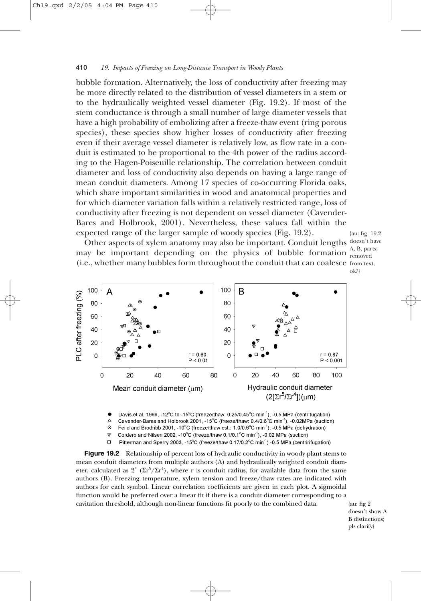bubble formation. Alternatively, the loss of conductivity after freezing may be more directly related to the distribution of vessel diameters in a stem or to the hydraulically weighted vessel diameter (Fig. 19.2). If most of the stem conductance is through a small number of large diameter vessels that have a high probability of embolizing after a freeze-thaw event (ring porous species), these species show higher losses of conductivity after freezing even if their average vessel diameter is relatively low, as flow rate in a conduit is estimated to be proportional to the 4th power of the radius according to the Hagen-Poiseuille relationship. The correlation between conduit diameter and loss of conductivity also depends on having a large range of mean conduit diameters. Among 17 species of co-occurring Florida oaks, which share important similarities in wood and anatomical properties and for which diameter variation falls within a relatively restricted range, loss of conductivity after freezing is not dependent on vessel diameter (Cavender-Bares and Holbrook, 2001). Nevertheless, these values fall within the expected range of the larger sample of woody species (Fig. 19.2).

Other aspects of xylem anatomy may also be important. Conduit lengths doesn't have may be important depending on the physics of bubble formation  $\frac{1}{10}$ ,  $\frac{1}{10}$ ,  $\frac{1}{10}$ ,  $\frac{1}{10}$ (i.e., whether many bubbles form throughout the conduit that can coalesce from text,

{au: fig. 19.2 A, B, parts; ok?}



Davis et al. 1999, -12°C to -15°C (freeze/thaw: 0.25/0.45°C min<sup>-1</sup>), -0.5 MPa (centrifugation)

 $\Delta$ Cavender-Bares and Holbrook 2001, -15°C (freeze/thaw: 0.4/0.6°C min<sup>-1</sup>), -0.02MPa (suction)

 $\odot$ Feild and Brodribb 2001, -10°C (freeze/thaw est.: 1.0/0.6°C min<sup>-1</sup>), -0.5 MPa (dehydration)

Cordero and Nilsen 2002, -10°C (freeze/thaw 0.1/0.1°C min<sup>-1</sup>), -0.02 MPa (suction)

 $\Box$ Pitterman and Sperry 2003, -15°C (freeze/thaw 0.17/0.2°C min<sup>-1</sup>) -0.5 MPa (centririfugation)

**Figure 19.2** Relationship of percent loss of hydraulic conductivity in woody plant stems to mean conduit diameters from multiple authors (A) and hydraulically weighted conduit diameter, calculated as  $2^*(\Sigma r^5/\Sigma r^4)$ , where r is conduit radius, for available data from the same authors (B). Freezing temperature, xylem tension and freeze/thaw rates are indicated with authors for each symbol. Linear correlation coefficients are given in each plot. A sigmoidal function would be preferred over a linear fit if there is a conduit diameter corresponding to a cavitation threshold, although non-linear functions fit poorly to the combined data. {au: fig 2

doesn't show A B distinctions; pls clarify}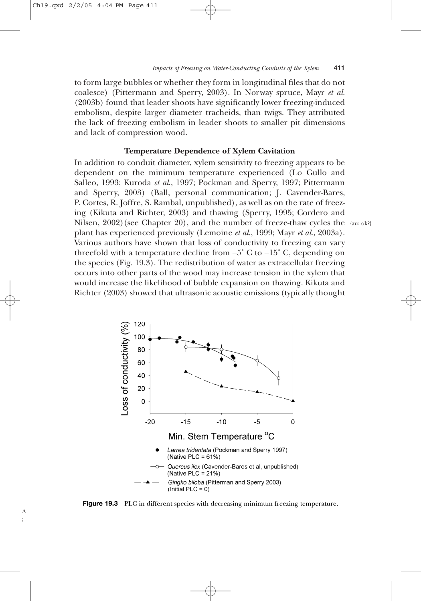A ;

## *Impacts of Freezing on Water-Conducting Conduits of the Xylem* **411**

to form large bubbles or whether they form in longitudinal files that do not coalesce) (Pittermann and Sperry, 2003). In Norway spruce, Mayr *et al*. (2003b) found that leader shoots have significantly lower freezing-induced embolism, despite larger diameter tracheids, than twigs. They attributed the lack of freezing embolism in leader shoots to smaller pit dimensions and lack of compression wood.

## **Temperature Dependence of Xylem Cavitation**

In addition to conduit diameter, xylem sensitivity to freezing appears to be dependent on the minimum temperature experienced (Lo Gullo and Salleo, 1993; Kuroda *et al*., 1997; Pockman and Sperry, 1997; Pittermann and Sperry, 2003) (Ball, personal communication; J. Cavender-Bares, P. Cortes, R. Joffre, S. Rambal, unpublished), as well as on the rate of freezing (Kikuta and Richter, 2003) and thawing (Sperry, 1995; Cordero and Nilsen, 2002) (see Chapter 20), and the number of freeze-thaw cycles the {au: ok?} plant has experienced previously (Lemoine *et al*., 1999; Mayr *et al*., 2003a). Various authors have shown that loss of conductivity to freezing can vary threefold with a temperature decline from −5˚ C to −15˚ C, depending on the species (Fig. 19.3). The redistribution of water as extracellular freezing occurs into other parts of the wood may increase tension in the xylem that would increase the likelihood of bubble expansion on thawing. Kikuta and Richter (2003) showed that ultrasonic acoustic emissions (typically thought



**Figure 19.3** PLC in different species with decreasing minimum freezing temperature.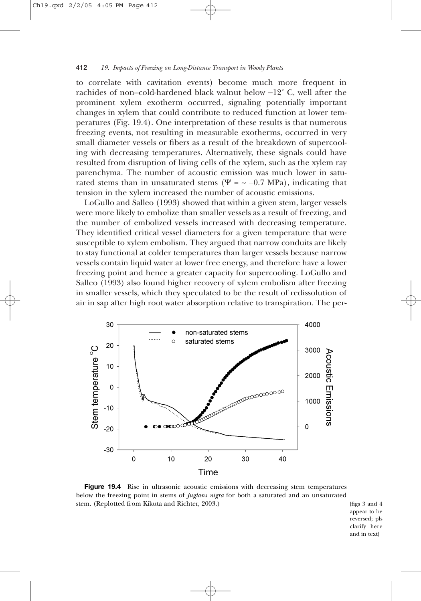to correlate with cavitation events) become much more frequent in rachides of non–cold-hardened black walnut below −12˚ C, well after the prominent xylem exotherm occurred, signaling potentially important changes in xylem that could contribute to reduced function at lower temperatures (Fig. 19.4). One interpretation of these results is that numerous freezing events, not resulting in measurable exotherms, occurred in very small diameter vessels or fibers as a result of the breakdown of supercooling with decreasing temperatures. Alternatively, these signals could have resulted from disruption of living cells of the xylem, such as the xylem ray parenchyma. The number of acoustic emission was much lower in saturated stems than in unsaturated stems ( $\Psi = \sim -0.7$  MPa), indicating that tension in the xylem increased the number of acoustic emissions.

LoGullo and Salleo (1993) showed that within a given stem, larger vessels were more likely to embolize than smaller vessels as a result of freezing, and the number of embolized vessels increased with decreasing temperature. They identified critical vessel diameters for a given temperature that were susceptible to xylem embolism. They argued that narrow conduits are likely to stay functional at colder temperatures than larger vessels because narrow vessels contain liquid water at lower free energy, and therefore have a lower freezing point and hence a greater capacity for supercooling. LoGullo and Salleo (1993) also found higher recovery of xylem embolism after freezing in smaller vessels, which they speculated to be the result of redissolution of air in sap after high root water absorption relative to transpiration. The per-



**Figure 19.4** Rise in ultrasonic acoustic emissions with decreasing stem temperatures below the freezing point in stems of *Juglans nigra* for both a saturated and an unsaturated stem. (Replotted from Kikuta and Richter, 2003.) {figs 3 and 4

appear to be reversed; pls clarify here and in text}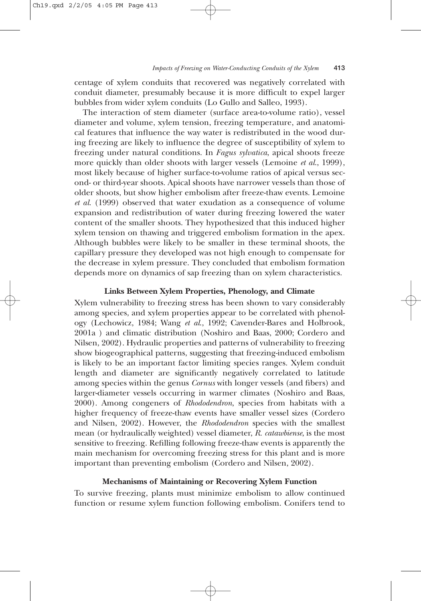centage of xylem conduits that recovered was negatively correlated with conduit diameter, presumably because it is more difficult to expel larger bubbles from wider xylem conduits (Lo Gullo and Salleo, 1993).

The interaction of stem diameter (surface area-to-volume ratio), vessel diameter and volume, xylem tension, freezing temperature, and anatomical features that influence the way water is redistributed in the wood during freezing are likely to influence the degree of susceptibility of xylem to freezing under natural conditions. In *Fagus sylvatica*, apical shoots freeze more quickly than older shoots with larger vessels (Lemoine *et al*., 1999), most likely because of higher surface-to-volume ratios of apical versus second- or third-year shoots. Apical shoots have narrower vessels than those of older shoots, but show higher embolism after freeze-thaw events. Lemoine *et al*. (1999) observed that water exudation as a consequence of volume expansion and redistribution of water during freezing lowered the water content of the smaller shoots. They hypothesized that this induced higher xylem tension on thawing and triggered embolism formation in the apex. Although bubbles were likely to be smaller in these terminal shoots, the capillary pressure they developed was not high enough to compensate for the decrease in xylem pressure. They concluded that embolism formation depends more on dynamics of sap freezing than on xylem characteristics.

## **Links Between Xylem Properties, Phenology, and Climate**

Xylem vulnerability to freezing stress has been shown to vary considerably among species, and xylem properties appear to be correlated with phenology (Lechowicz, 1984; Wang *et al*., 1992; Cavender-Bares and Holbrook, 2001a ) and climatic distribution (Noshiro and Baas, 2000; Cordero and Nilsen, 2002). Hydraulic properties and patterns of vulnerability to freezing show biogeographical patterns, suggesting that freezing-induced embolism is likely to be an important factor limiting species ranges. Xylem conduit length and diameter are significantly negatively correlated to latitude among species within the genus *Cornus* with longer vessels (and fibers) and larger-diameter vessels occurring in warmer climates (Noshiro and Baas, 2000). Among congeners of *Rhododendron*, species from habitats with a higher frequency of freeze-thaw events have smaller vessel sizes (Cordero and Nilsen, 2002). However, the *Rhododendron* species with the smallest mean (or hydraulically weighted) vessel diameter, *R. catawbiense*, is the most sensitive to freezing. Refilling following freeze-thaw events is apparently the main mechanism for overcoming freezing stress for this plant and is more important than preventing embolism (Cordero and Nilsen, 2002).

## **Mechanisms of Maintaining or Recovering Xylem Function**

To survive freezing, plants must minimize embolism to allow continued function or resume xylem function following embolism. Conifers tend to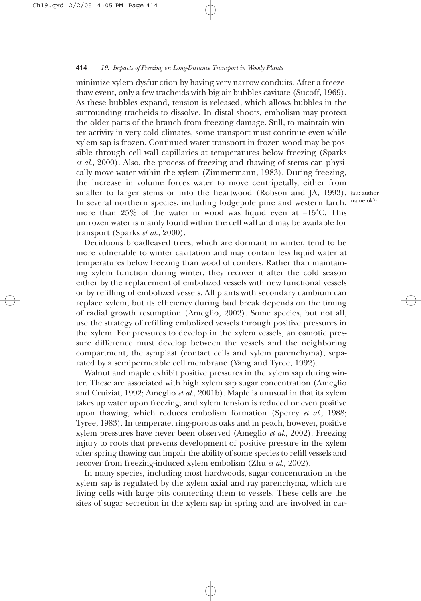minimize xylem dysfunction by having very narrow conduits. After a freezethaw event, only a few tracheids with big air bubbles cavitate (Sucoff, 1969). As these bubbles expand, tension is released, which allows bubbles in the surrounding tracheids to dissolve. In distal shoots, embolism may protect the older parts of the branch from freezing damage. Still, to maintain winter activity in very cold climates, some transport must continue even while xylem sap is frozen. Continued water transport in frozen wood may be possible through cell wall capillaries at temperatures below freezing (Sparks *et al*., 2000). Also, the process of freezing and thawing of stems can physically move water within the xylem (Zimmermann, 1983). During freezing, the increase in volume forces water to move centripetally, either from smaller to larger stems or into the heartwood (Robson and JA, 1993). {au: author In several northern species, including lodgepole pine and western larch, name ok?} more than 25% of the water in wood was liquid even at −15˚C. This unfrozen water is mainly found within the cell wall and may be available for transport (Sparks *et al*., 2000).

Deciduous broadleaved trees, which are dormant in winter, tend to be more vulnerable to winter cavitation and may contain less liquid water at temperatures below freezing than wood of conifers. Rather than maintaining xylem function during winter, they recover it after the cold season either by the replacement of embolized vessels with new functional vessels or by refilling of embolized vessels. All plants with secondary cambium can replace xylem, but its efficiency during bud break depends on the timing of radial growth resumption (Ameglio, 2002). Some species, but not all, use the strategy of refilling embolized vessels through positive pressures in the xylem. For pressures to develop in the xylem vessels, an osmotic pressure difference must develop between the vessels and the neighboring compartment, the symplast (contact cells and xylem parenchyma), separated by a semipermeable cell membrane (Yang and Tyree, 1992).

Walnut and maple exhibit positive pressures in the xylem sap during winter. These are associated with high xylem sap sugar concentration (Ameglio and Cruiziat, 1992; Ameglio *et al*., 2001b). Maple is unusual in that its xylem takes up water upon freezing, and xylem tension is reduced or even positive upon thawing, which reduces embolism formation (Sperry *et al*., 1988; Tyree, 1983). In temperate, ring-porous oaks and in peach, however, positive xylem pressures have never been observed (Ameglio *et al*., 2002). Freezing injury to roots that prevents development of positive pressure in the xylem after spring thawing can impair the ability of some species to refill vessels and recover from freezing-induced xylem embolism (Zhu *et al*., 2002).

In many species, including most hardwoods, sugar concentration in the xylem sap is regulated by the xylem axial and ray parenchyma, which are living cells with large pits connecting them to vessels. These cells are the sites of sugar secretion in the xylem sap in spring and are involved in car-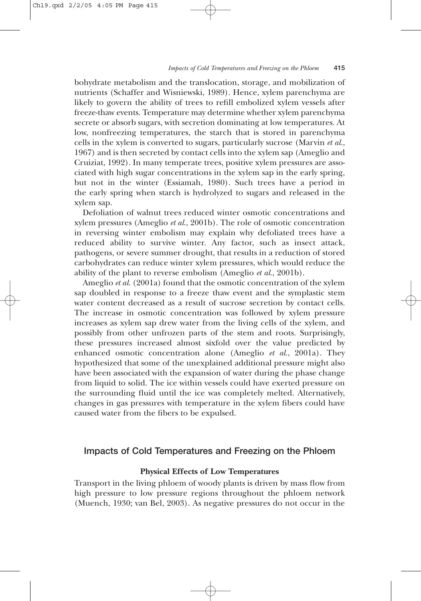## *Impacts of Cold Temperatures and Freezing on the Phloem* **415**

bohydrate metabolism and the translocation, storage, and mobilization of nutrients (Schaffer and Wisniewski, 1989). Hence, xylem parenchyma are likely to govern the ability of trees to refill embolized xylem vessels after freeze-thaw events. Temperature may determine whether xylem parenchyma secrete or absorb sugars, with secretion dominating at low temperatures. At low, nonfreezing temperatures, the starch that is stored in parenchyma cells in the xylem is converted to sugars, particularly sucrose (Marvin *et al*., 1967) and is then secreted by contact cells into the xylem sap (Ameglio and Cruiziat, 1992). In many temperate trees, positive xylem pressures are associated with high sugar concentrations in the xylem sap in the early spring, but not in the winter (Essiamah, 1980). Such trees have a period in the early spring when starch is hydrolyzed to sugars and released in the xylem sap.

Ch19.qxd 2/2/05 4:05 PM Page 415

Defoliation of walnut trees reduced winter osmotic concentrations and xylem pressures (Ameglio *et al*., 2001b). The role of osmotic concentration in reversing winter embolism may explain why defoliated trees have a reduced ability to survive winter. Any factor, such as insect attack, pathogens, or severe summer drought, that results in a reduction of stored carbohydrates can reduce winter xylem pressures, which would reduce the ability of the plant to reverse embolism (Ameglio *et al*., 2001b).

Ameglio *et al*. (2001a) found that the osmotic concentration of the xylem sap doubled in response to a freeze thaw event and the symplastic stem water content decreased as a result of sucrose secretion by contact cells. The increase in osmotic concentration was followed by xylem pressure increases as xylem sap drew water from the living cells of the xylem, and possibly from other unfrozen parts of the stem and roots. Surprisingly, these pressures increased almost sixfold over the value predicted by enhanced osmotic concentration alone (Ameglio *et al*., 2001a). They hypothesized that some of the unexplained additional pressure might also have been associated with the expansion of water during the phase change from liquid to solid. The ice within vessels could have exerted pressure on the surrounding fluid until the ice was completely melted. Alternatively, changes in gas pressures with temperature in the xylem fibers could have caused water from the fibers to be expulsed.

## **Impacts of Cold Temperatures and Freezing on the Phloem**

## **Physical Effects of Low Temperatures**

Transport in the living phloem of woody plants is driven by mass flow from high pressure to low pressure regions throughout the phloem network (Muench, 1930; van Bel, 2003). As negative pressures do not occur in the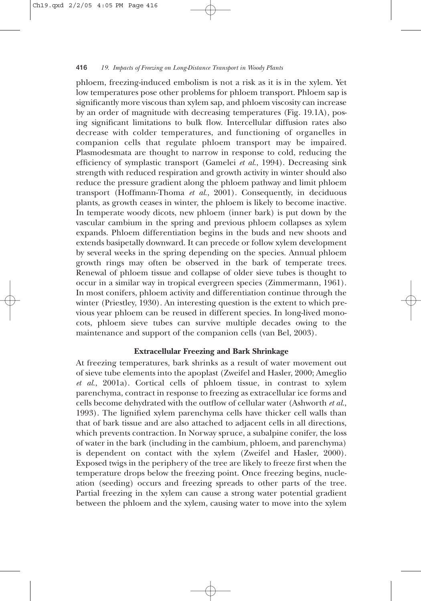phloem, freezing-induced embolism is not a risk as it is in the xylem. Yet low temperatures pose other problems for phloem transport. Phloem sap is significantly more viscous than xylem sap, and phloem viscosity can increase by an order of magnitude with decreasing temperatures (Fig. 19.1A), posing significant limitations to bulk flow. Intercellular diffusion rates also decrease with colder temperatures, and functioning of organelles in companion cells that regulate phloem transport may be impaired. Plasmodesmata are thought to narrow in response to cold, reducing the efficiency of symplastic transport (Gamelei *et al*., 1994). Decreasing sink strength with reduced respiration and growth activity in winter should also reduce the pressure gradient along the phloem pathway and limit phloem transport (Hoffmann-Thoma *et al*., 2001). Consequently, in deciduous plants, as growth ceases in winter, the phloem is likely to become inactive. In temperate woody dicots, new phloem (inner bark) is put down by the vascular cambium in the spring and previous phloem collapses as xylem expands. Phloem differentiation begins in the buds and new shoots and extends basipetally downward. It can precede or follow xylem development by several weeks in the spring depending on the species. Annual phloem growth rings may often be observed in the bark of temperate trees. Renewal of phloem tissue and collapse of older sieve tubes is thought to occur in a similar way in tropical evergreen species (Zimmermann, 1961). In most conifers, phloem activity and differentiation continue through the winter (Priestley, 1930). An interesting question is the extent to which previous year phloem can be reused in different species. In long-lived monocots, phloem sieve tubes can survive multiple decades owing to the maintenance and support of the companion cells (van Bel, 2003).

## **Extracellular Freezing and Bark Shrinkage**

At freezing temperatures, bark shrinks as a result of water movement out of sieve tube elements into the apoplast (Zweifel and Hasler, 2000; Ameglio *et al*., 2001a). Cortical cells of phloem tissue, in contrast to xylem parenchyma, contract in response to freezing as extracellular ice forms and cells become dehydrated with the outflow of cellular water (Ashworth *et al*., 1993). The lignified xylem parenchyma cells have thicker cell walls than that of bark tissue and are also attached to adjacent cells in all directions, which prevents contraction. In Norway spruce, a subalpine conifer, the loss of water in the bark (including in the cambium, phloem, and parenchyma) is dependent on contact with the xylem (Zweifel and Hasler, 2000). Exposed twigs in the periphery of the tree are likely to freeze first when the temperature drops below the freezing point. Once freezing begins, nucleation (seeding) occurs and freezing spreads to other parts of the tree. Partial freezing in the xylem can cause a strong water potential gradient between the phloem and the xylem, causing water to move into the xylem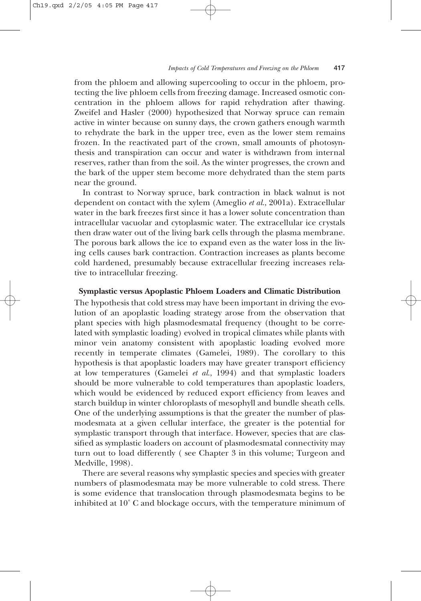#### *Impacts of Cold Temperatures and Freezing on the Phloem* **417**

from the phloem and allowing supercooling to occur in the phloem, protecting the live phloem cells from freezing damage. Increased osmotic concentration in the phloem allows for rapid rehydration after thawing. Zweifel and Hasler (2000) hypothesized that Norway spruce can remain active in winter because on sunny days, the crown gathers enough warmth to rehydrate the bark in the upper tree, even as the lower stem remains frozen. In the reactivated part of the crown, small amounts of photosynthesis and transpiration can occur and water is withdrawn from internal reserves, rather than from the soil. As the winter progresses, the crown and the bark of the upper stem become more dehydrated than the stem parts near the ground.

In contrast to Norway spruce, bark contraction in black walnut is not dependent on contact with the xylem (Ameglio *et al*., 2001a). Extracellular water in the bark freezes first since it has a lower solute concentration than intracellular vacuolar and cytoplasmic water. The extracellular ice crystals then draw water out of the living bark cells through the plasma membrane. The porous bark allows the ice to expand even as the water loss in the living cells causes bark contraction. Contraction increases as plants become cold hardened, presumably because extracellular freezing increases relative to intracellular freezing.

## **Symplastic versus Apoplastic Phloem Loaders and Climatic Distribution**

The hypothesis that cold stress may have been important in driving the evolution of an apoplastic loading strategy arose from the observation that plant species with high plasmodesmatal frequency (thought to be correlated with symplastic loading) evolved in tropical climates while plants with minor vein anatomy consistent with apoplastic loading evolved more recently in temperate climates (Gamelei, 1989). The corollary to this hypothesis is that apoplastic loaders may have greater transport efficiency at low temperatures (Gamelei *et al*., 1994) and that symplastic loaders should be more vulnerable to cold temperatures than apoplastic loaders, which would be evidenced by reduced export efficiency from leaves and starch buildup in winter chloroplasts of mesophyll and bundle sheath cells. One of the underlying assumptions is that the greater the number of plasmodesmata at a given cellular interface, the greater is the potential for symplastic transport through that interface. However, species that are classified as symplastic loaders on account of plasmodesmatal connectivity may turn out to load differently ( see Chapter 3 in this volume; Turgeon and Medville, 1998).

There are several reasons why symplastic species and species with greater numbers of plasmodesmata may be more vulnerable to cold stress. There is some evidence that translocation through plasmodesmata begins to be inhibited at 10˚ C and blockage occurs, with the temperature minimum of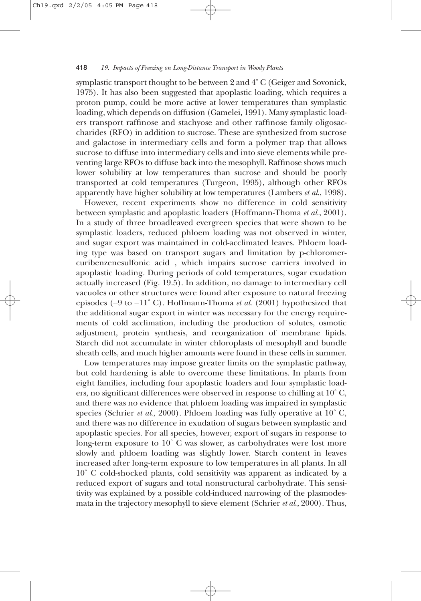symplastic transport thought to be between 2 and 4° C (Geiger and Sovonick, 1975). It has also been suggested that apoplastic loading, which requires a proton pump, could be more active at lower temperatures than symplastic loading, which depends on diffusion (Gamelei, 1991). Many symplastic loaders transport raffinose and stachyose and other raffinose family oligosaccharides (RFO) in addition to sucrose. These are synthesized from sucrose and galactose in intermediary cells and form a polymer trap that allows sucrose to diffuse into intermediary cells and into sieve elements while preventing large RFOs to diffuse back into the mesophyll. Raffinose shows much lower solubility at low temperatures than sucrose and should be poorly transported at cold temperatures (Turgeon, 1995), although other RFOs apparently have higher solubility at low temperatures (Lambers *et al*., 1998).

However, recent experiments show no difference in cold sensitivity between symplastic and apoplastic loaders (Hoffmann-Thoma *et al*., 2001). In a study of three broadleaved evergreen species that were shown to be symplastic loaders, reduced phloem loading was not observed in winter, and sugar export was maintained in cold-acclimated leaves. Phloem loading type was based on transport sugars and limitation by p-chloromercuribenzenesulfonic acid , which impairs sucrose carriers involved in apoplastic loading. During periods of cold temperatures, sugar exudation actually increased (Fig. 19.5). In addition, no damage to intermediary cell vacuoles or other structures were found after exposure to natural freezing episodes (−9 to −11˚ C). Hoffmann-Thoma *et al*. (2001) hypothesized that the additional sugar export in winter was necessary for the energy requirements of cold acclimation, including the production of solutes, osmotic adjustment, protein synthesis, and reorganization of membrane lipids. Starch did not accumulate in winter chloroplasts of mesophyll and bundle sheath cells, and much higher amounts were found in these cells in summer.

Low temperatures may impose greater limits on the symplastic pathway, but cold hardening is able to overcome these limitations. In plants from eight families, including four apoplastic loaders and four symplastic loaders, no significant differences were observed in response to chilling at 10˚ C, and there was no evidence that phloem loading was impaired in symplastic species (Schrier *et al*., 2000). Phloem loading was fully operative at 10˚ C, and there was no difference in exudation of sugars between symplastic and apoplastic species. For all species, however, export of sugars in response to long-term exposure to 10˚ C was slower, as carbohydrates were lost more slowly and phloem loading was slightly lower. Starch content in leaves increased after long-term exposure to low temperatures in all plants. In all 10˚ C cold-shocked plants, cold sensitivity was apparent as indicated by a reduced export of sugars and total nonstructural carbohydrate. This sensitivity was explained by a possible cold-induced narrowing of the plasmodesmata in the trajectory mesophyll to sieve element (Schrier *et al*., 2000). Thus,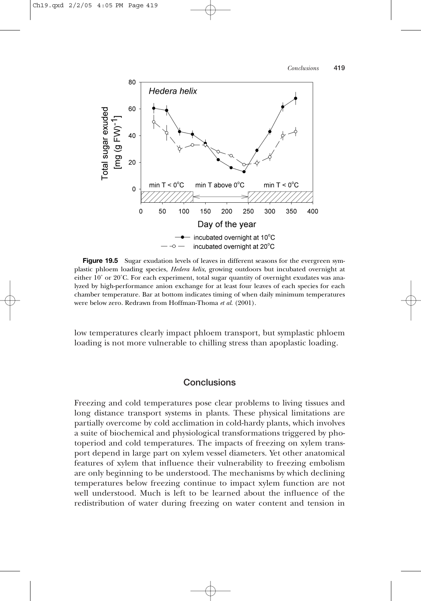

**Figure 19.5** Sugar exudation levels of leaves in different seasons for the evergreen symplastic phloem loading species, *Hedera helix*, growing outdoors but incubated overnight at either 10˚ or 20˚C. For each experiment, total sugar quantity of overnight exudates was analyzed by high-performance anion exchange for at least four leaves of each species for each chamber temperature. Bar at bottom indicates timing of when daily minimum temperatures were below zero. Redrawn from Hoffman-Thoma *et al*. (2001).

low temperatures clearly impact phloem transport, but symplastic phloem loading is not more vulnerable to chilling stress than apoplastic loading.

## **Conclusions**

Freezing and cold temperatures pose clear problems to living tissues and long distance transport systems in plants. These physical limitations are partially overcome by cold acclimation in cold-hardy plants, which involves a suite of biochemical and physiological transformations triggered by photoperiod and cold temperatures. The impacts of freezing on xylem transport depend in large part on xylem vessel diameters. Yet other anatomical features of xylem that influence their vulnerability to freezing embolism are only beginning to be understood. The mechanisms by which declining temperatures below freezing continue to impact xylem function are not well understood. Much is left to be learned about the influence of the redistribution of water during freezing on water content and tension in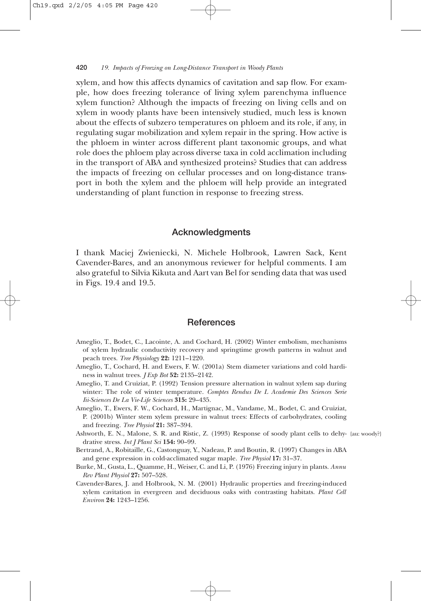xylem, and how this affects dynamics of cavitation and sap flow. For example, how does freezing tolerance of living xylem parenchyma influence xylem function? Although the impacts of freezing on living cells and on xylem in woody plants have been intensively studied, much less is known about the effects of subzero temperatures on phloem and its role, if any, in regulating sugar mobilization and xylem repair in the spring. How active is the phloem in winter across different plant taxonomic groups, and what role does the phloem play across diverse taxa in cold acclimation including in the transport of ABA and synthesized proteins? Studies that can address the impacts of freezing on cellular processes and on long-distance transport in both the xylem and the phloem will help provide an integrated understanding of plant function in response to freezing stress.

## **Acknowledgments**

I thank Maciej Zwieniecki, N. Michele Holbrook, Lawren Sack, Kent Cavender-Bares, and an anonymous reviewer for helpful comments. I am also grateful to Silvia Kikuta and Aart van Bel for sending data that was used in Figs. 19.4 and 19.5.

## **References**

- Ameglio, T., Bodet, C., Lacointe, A. and Cochard, H. (2002) Winter embolism, mechanisms of xylem hydraulic conductivity recovery and springtime growth patterns in walnut and peach trees. *Tree Physiology* **22:** 1211–1220.
- Ameglio, T., Cochard, H. and Ewers, F. W. (2001a) Stem diameter variations and cold hardiness in walnut trees. *J Exp Bot* **52:** 2135–2142.
- Ameglio, T. and Cruiziat, P. (1992) Tension pressure alternation in walnut xylem sap during winter: The role of winter temperature. *Comptes Rendus De L Academie Des Sciences Serie Iii-Sciences De La Vie-Life Sciences* **315:** 29–435.
- Ameglio, T., Ewers, F. W., Cochard, H., Martignac, M., Vandame, M., Bodet, C. and Cruiziat, P. (2001b) Winter stem xylem pressure in walnut trees: Effects of carbohydrates, cooling and freezing. *Tree Physiol* **21:** 387–394.
- Ashworth, E. N., Malone, S. R. and Ristic, Z. (1993) Response of soody plant cells to dehy-{au: woody?} drative stress. *Int J Plant Sci* **154:** 90–99.
- Bertrand, A., Robitaille, G., Castonguay, Y., Nadeau, P. and Boutin, R. (1997) Changes in ABA and gene expression in cold-acclimated sugar maple. *Tree Physiol* **17:** 31–37.
- Burke, M., Gusta, L., Quamme, H., Weiser, C. and Li, P. (1976) Freezing injury in plants. *Annu Rev Plant Physiol* **27:** 507–528.
- Cavender-Bares, J. and Holbrook, N. M. (2001) Hydraulic properties and freezing-induced xylem cavitation in evergreen and deciduous oaks with contrasting habitats. *Plant Cell Environ* **24:** 1243–1256.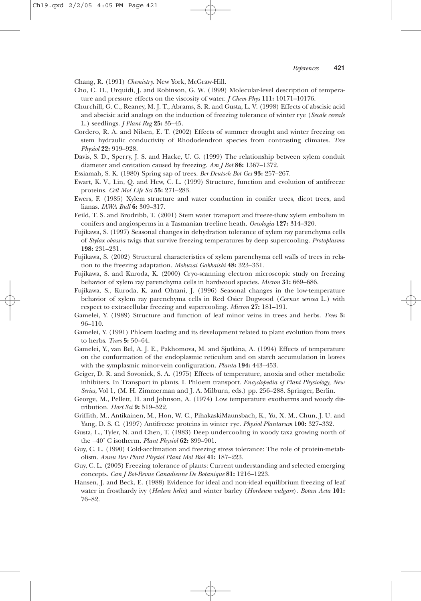Chang, R. (1991) *Chemistry*. New York, McGraw-Hill.

- Cho, C. H., Urquidi, J. and Robinson, G. W. (1999) Molecular-level description of temperature and pressure effects on the viscosity of water. *J Chem Phys* **111:** 10171–10176.
- Churchill, G. C., Reaney, M. J. T., Abrams, S. R. and Gusta, L. V. (1998) Effects of abscisic acid and abscisic acid analogs on the induction of freezing tolerance of winter rye (*Secale cereale* L.) seedlings. *J Plant Reg* **25:** 35–45.
- Cordero, R. A. and Nilsen, E. T. (2002) Effects of summer drought and winter freezing on stem hydraulic conductivity of Rhododendron species from contrasting climates. *Tree Physiol* **22:** 919–928.
- Davis, S. D., Sperry, J. S. and Hacke, U. G. (1999) The relationship between xylem conduit diameter and cavitation caused by freezing. *Am J Bot* **86:** 1367–1372.
- Essiamah, S. K. (1980) Spring sap of trees. *Ber Deutsch Bot Ges* **93:** 257–267.
- Ewart, K. V., Lin, Q. and Hew, C. L. (1999) Structure, function and evolution of antifreeze proteins. *Cell Mol Life Sci* **55:** 271–283.
- Ewers, F. (1985) Xylem structure and water conduction in conifer trees, dicot trees, and lianas. *IAWA Bull* **6:** 309–317.
- Feild, T. S. and Brodribb, T. (2001) Stem water transport and freeze-thaw xylem embolism in conifers and angiosperms in a Tasmanian treeline heath. *Oecologia* **127:** 314–320.
- Fujikawa, S. (1997) Seasonal changes in dehydration tolerance of xylem ray parenchyma cells of *Stylax obassia* twigs that survive freezing temperatures by deep supercooling. *Protoplasma* **198:** 231–231.
- Fujikawa, S. (2002) Structural characteristics of xylem parenchyma cell walls of trees in relation to the freezing adaptation. *Mokuzai Gakkaishi* **48:** 323–331.
- Fujikawa, S. and Kuroda, K. (2000) Cryo-scanning electron microscopic study on freezing behavior of xylem ray parenchyma cells in hardwood species. *Micron* **31:** 669–686.
- Fujikawa, S., Kuroda, K. and Ohtani, J. (1996) Seasonal changes in the low-temperature behavior of xylem ray parenchyma cells in Red Osier Dogwood (*Cornus sericea* L.) with respect to extracellular freezing and supercooling. *Micron* **27:** 181–191.
- Gamelei, Y. (1989) Structure and function of leaf minor veins in trees and herbs. *Trees* **3:** 96–110.
- Gamelei, Y. (1991) Phloem loading and its development related to plant evolution from trees to herbs. *Trees* **5:** 50–64.
- Gamelei, Y., van Bel, A. J. E., Pakhomova, M. and Sjutkina, A. (1994) Effects of temperature on the conformation of the endoplasmic reticulum and on starch accumulation in leaves with the symplasmic minor-vein configuration. *Planta* **194:** 443–453.
- Geiger, D. R. and Sovonick, S. A. (1975) Effects of temperature, anoxia and other metabolic inhibiters. In Transport in plants. I. Phloem transport. *Encyclopedia of Plant Physiology, New Series*, Vol 1, (M. H. Zimmerman and J. A. Milburn, eds.) pp. 256–288. Springer, Berlin.
- George, M., Pellett, H. and Johnson, A. (1974) Low temperature exotherms and woody distribution. *Hort Sci* **9:** 519–522.
- Griffith, M., Antikainen, M., Hon, W. C., PihakaskiMaunsbach, K., Yu, X. M., Chun, J. U. and Yang, D. S. C. (1997) Antifreeze proteins in winter rye. *Physiol Plantarum* **100:** 327–332.
- Gusta, L., Tyler, N. and Chen, T. (1983) Deep undercooling in woody taxa growing north of the −40˚ C isotherm. *Plant Physiol* **62:** 899–901.
- Guy, C. L. (1990) Cold-acclimation and freezing stress tolerance: The role of protein-metabolism. *Annu Rev Plant Physiol Plant Mol Biol* **41:** 187–223.
- Guy, C. L. (2003) Freezing tolerance of plants: Current understanding and selected emerging concepts. *Can J Bot-Revue Canadienne De Botanique* **81:** 1216–1223.
- Hansen, J. and Beck, E. (1988) Evidence for ideal and non-ideal equilibrium freezing of leaf water in frosthardy ivy (*Hedera helix*) and winter barley (*Hordeum vulgare*). *Botan Acta* **101:** 76–82.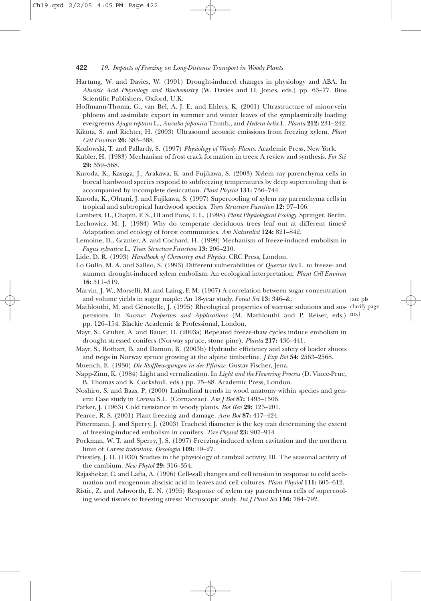- Hartung, W. and Davies, W. (1991) Drought-induced changes in physiology and ABA. In *Abscisic Acid Physiology and Biochemistry* (W. Davies and H. Jones, eds.) pp. 63–77. Bios Scientific Publishers, Oxford, U.K.
- Hoffmann-Thoma, G., van Bel, A. J. E. and Ehlers, K. (2001) Ultrastructure of minor-vein phloem and assimilate export in summer and winter leaves of the symplasmically loading evergreens *Ajuga reptans* L., *Aucuba japonica* Thunb., and *Hedera helix* L. *Planta* **212:** 231–242.
- Kikuta, S. and Richter, H. (2003) Ultrasound acoustic emissions from freezing xylem. *Plant Cell Environ* **26:** 383–388.
- Kozlowski, T. and Pallardy, S. (1997) *Physiology of Woody Plants*. Academic Press, New York.
- Kubler, H. (1983) Mechanism of frost crack formation in trees: A review and synthesis. *For Sci* **29:** 559–568.
- Kuroda, K., Kasuga, J., Arakawa, K. and Fujikawa, S. (2003) Xylem ray parenchyma cells in boreal hardwood species respond to subfreezing temperatures by deep supercooling that is accompanied by incomplete desiccation. *Plant Physiol* **131:** 736–744.
- Kuroda, K., Ohtani, J. and Fujikawa, S. (1997) Supercooling of xylem ray parenchyma cells in tropical and subtropical hardwood species. *Trees Structure Function* **12:** 97–106.

Lambers, H., Chapin, F. S., III and Pons, T. L. (1998) *Plant Physiological Ecology*. Springer, Berlin.

- Lechowicz, M. J. (1984) Why do temperate deciduous trees leaf out at different times? Adaptation and ecology of forest communities. *Am Naturalist* **124:** 821–842.
- Lemoine, D., Granier, A. and Cochard, H. (1999) Mechanism of freeze-induced embolism in *Fagus sylvatica* L. *Trees Structure Function* **13:** 206–210.
- Lide, D. R. (1993) *Handbook of Chemistry and Physics*. CRC Press, London.
- Lo Gullo, M. A. and Salleo, S. (1993) Different vulnerabilities of *Quercus ilex* L. to freeze- and summer drought-induced xylem embolism: An ecological interpretation. *Plant Cell Environ* **16:** 511–519.
- Marvin, J. W., Morselli, M. and Laing, F. M. (1967) A correlation between sugar concentration and volume yields in sugar maple: An 18-year study. *Forest Sci* **13:** 346–&.
- Mathlouthi, M. and Génotelle, J. (1995) Rheological properties of sucrose solutions and sus-clarify page pensions. In *Sucrose: Properties and Applications* (M. Mathlouthi and P. Reiser, eds.) no.} pp. 126–154. Blackie Academic & Professional, London.
- Mayr, S., Gruber, A. and Bauer, H. (2003a) Repeated freeze-thaw cycles induce embolism in drought stressed conifers (Norway spruce, stone pine). *Planta* **217:** 436–441.
- Mayr, S., Rothart, B. and Damon, B. (2003b) Hydraulic efficiency and safety of leader shoots and twigs in Norway spruce growing at the alpine timberline. *J Exp Bot* **54:** 2563–2568.
- Muench, E. (1930) *Die Stoffbewegungen in der Pflanze*. Gustav Fischer, Jena.
- Napp-Zinn, K. (1984) Light and vernalization. In *Light and the Flowering Process* (D. Vince-Prue, B. Thomas and K. Cockshull, eds.) pp. 75–88. Academic Press, London.
- Noshiro, S. and Baas, P. (2000) Latitudinal trends in wood anatomy within species and genera: Case study in *Cornus* S.L. (Cornaceae). *Am J Bot* **87:** 1495–1506.
- Parker, J. (1963) Cold resistance in woody plants. *Bot Rev* **29:** 123–201.
- Pearce, R. S. (2001) Plant freezing and damage. *Ann Bot* **87:** 417–424.
- Pittermann, J. and Sperry, J. (2003) Tracheid diameter is the key trait determining the extent of freezing-induced embolism in conifers. *Tree Physiol* **23:** 907–914.
- Pockman, W. T. and Sperry, J. S. (1997) Freezing-induced xylem cavitation and the northern limit of *Larrea tridentata. Oecologia* **109:** 19–27.
- Priestley, J. H. (1930) Studies in the physiology of cambial activity. III. The seasonal activity of the cambium. *New Phytol* **29:** 316–354.
- Rajashekar, C. and Lafta, A. (1996) Cell-wall changes and cell tension in response to cold acclimation and exogenous abscisic acid in leaves and cell cultures. *Plant Physiol* **111:** 605–612.
- Ristic, Z. and Ashworth, E. N. (1995) Response of xylem ray parenchyma cells of supercooling wood tissues to freezing stress: Microscopic study. *Int J Plant Sci* **156:** 784–792.

{au: pls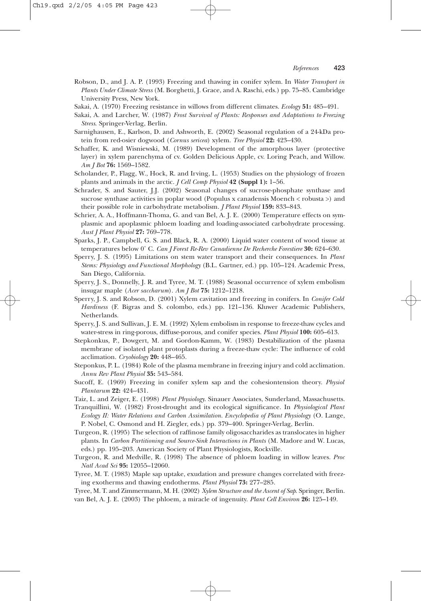- Robson, D., and J. A. P. (1993) Freezing and thawing in conifer xylem. In *Water Transport in Plants Under Climate Stress* (M. Borghetti, J. Grace, and A. Raschi, eds.) pp. 75–85. Cambridge University Press, New York.
- Sakai, A. (1970) Freezing resistance in willows from different climates. *Ecology* **51:** 485–491.
- Sakai, A. and Larcher, W. (1987) *Frost Survival of Plants: Responses and Adaptations to Freezing Stress*. Springer-Verlag, Berlin.
- Sarnighausen, E., Karlson, D. and Ashworth, E. (2002) Seasonal regulation of a 24-kDa protein from red-osier dogwood (*Cornus sericea*) xylem. *Tree Physiol* **22:** 423–430.
- Schaffer, K. and Wisniewski, M. (1989) Development of the amorphous layer (protective layer) in xylem parenchyma of cv. Golden Delicious Apple, cv. Loring Peach, and Willow. *Am J Bot* **76:** 1569–1582.
- Scholander, P., Flagg, W., Hock, R. and Irving, L. (1953) Studies on the physiology of frozen plants and animals in the arctic. *J Cell Comp Physiol* **42 (Suppl 1):** 1–56.
- Schrader, S. and Sauter, J.J. (2002) Seasonal changes of sucrose-phosphate synthase and sucrose synthase activities in poplar wood (Populus x canadensis Moench < robusta >) and their possible role in carbohydrate metabolism. *J Plant Physiol* **159:** 833–843.
- Schrier, A. A., Hoffmann-Thoma, G. and van Bel, A. J. E. (2000) Temperature effects on symplasmic and apoplasmic phloem loading and loading-associated carbohydrate processing. *Aust J Plant Physiol* **27:** 769–778.
- Sparks, J. P., Campbell, G. S. and Black, R. A. (2000) Liquid water content of wood tissue at temperatures below 0˚ C. *Can J Forest Re-Rev Canadienne De Recherche Forestiere* **30:** 624–630.
- Sperry, J. S. (1995) Limitations on stem water transport and their consequences. In *Plant Stems: Physiology and Functional Morphology* (B.L. Gartner, ed.) pp. 105–124. Academic Press, San Diego, California.
- Sperry, J. S., Donnelly, J. R. and Tyree, M. T. (1988) Seasonal occurrence of xylem embolism insugar maple (*Acer saccharum*). *Am J Bot* **75:** 1212–1218.
- Sperry, J. S. and Robson, D. (2001) Xylem cavitation and freezing in conifers. In *Conifer Cold Hardiness* (F. Bigras and S. colombo, eds.) pp. 121–136. Kluwer Academic Publishers, Netherlands.
- Sperry, J. S. and Sullivan, J. E. M. (1992) Xylem embolism in response to freeze-thaw cycles and water-stress in ring-porous, diffuse-porous, and conifer species. *Plant Physiol* **100:** 605–613.
- Stepkonkus, P., Dowgert, M. and Gordon-Kamm, W. (1983) Destabilization of the plasma membrane of isolated plant protoplasts during a freeze-thaw cycle: The influence of cold acclimation. *Cryobiology* **20:** 448–465.
- Steponkus, P. L. (1984) Role of the plasma membrane in freezing injury and cold acclimation. *Annu Rev Plant Physiol* **35:** 543–584.
- Sucoff, E. (1969) Freezing in conifer xylem sap and the cohesiontension theory. *Physiol Plantarum* **22:** 424–431.
- Taiz, L. and Zeiger, E. (1998) *Plant Physiology*. Sinauer Associates, Sunderland, Massachusetts.
- Tranquillini, W. (1982) Frost-drought and its ecological significance. In *Physiological Plant Ecology II: Water Relations and Carbon Assimilation. Encyclopedia of Plant Physiology* (O. Lange, P. Nobel, C. Osmond and H. Ziegler, eds.) pp. 379–400. Springer-Verlag, Berlin.
- Turgeon, R. (1995) The selection of raffinose family oligosaccharides as translocates in higher plants. In *Carbon Partitioning and Source-Sink Interactions in Plants* (M. Madore and W. Lucas, eds.) pp. 195–203. American Society of Plant Physiologists, Rockville.
- Turgeon, R. and Medville, R. (1998) The absence of phloem loading in willow leaves. *Proc Natl Acad Sci* **95:** 12055–12060.
- Tyree, M. T. (1983) Maple sap uptake, exudation and pressure changes correlated with freezing exotherms and thawing endotherms. *Plant Physiol* **73:** 277–285.

Tyree, M. T. and Zimmermann, M. H. (2002) *Xylem Structure and the Ascent of Sap*. Springer, Berlin. van Bel, A. J. E. (2003) The phloem, a miracle of ingenuity. *Plant Cell Environ* **26:** 125–149.